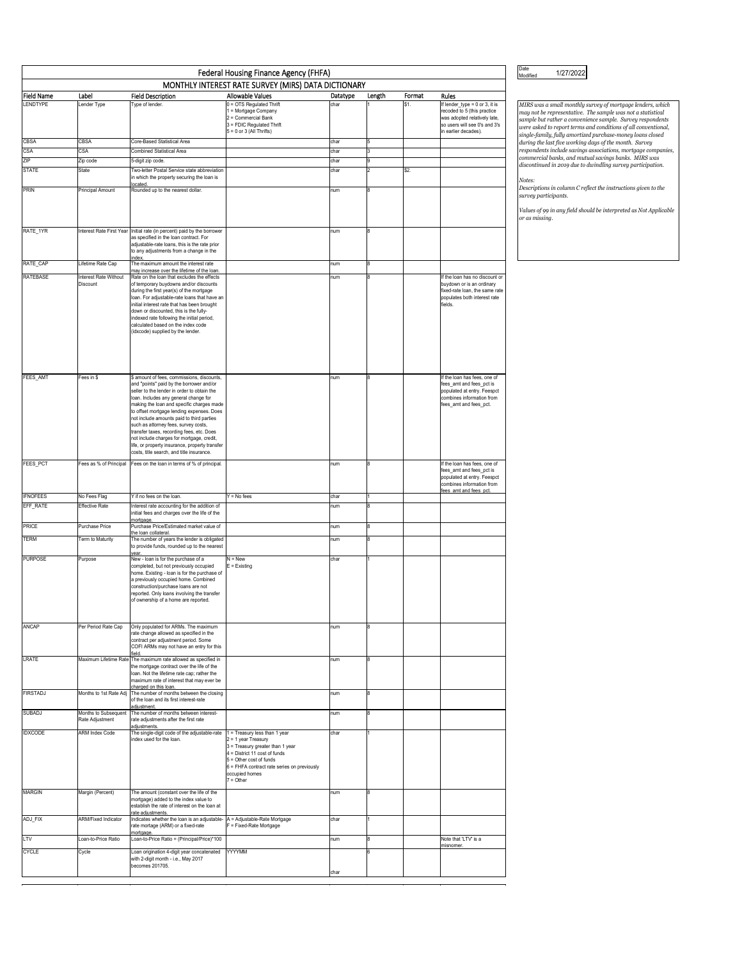| Federal Housing Finance Agency (FHFA)               |                                         |                                                                                                                                                                                                                                                                                                                                                                                                                                                                                                                                                        |                                                                                                                                                                                                                                            |            |        |        |                                                                                                                                                        |  |  |  |  |  |
|-----------------------------------------------------|-----------------------------------------|--------------------------------------------------------------------------------------------------------------------------------------------------------------------------------------------------------------------------------------------------------------------------------------------------------------------------------------------------------------------------------------------------------------------------------------------------------------------------------------------------------------------------------------------------------|--------------------------------------------------------------------------------------------------------------------------------------------------------------------------------------------------------------------------------------------|------------|--------|--------|--------------------------------------------------------------------------------------------------------------------------------------------------------|--|--|--|--|--|
| MONTHLY INTEREST RATE SURVEY (MIRS) DATA DICTIONARY |                                         |                                                                                                                                                                                                                                                                                                                                                                                                                                                                                                                                                        |                                                                                                                                                                                                                                            |            |        |        |                                                                                                                                                        |  |  |  |  |  |
| Field Name                                          | Label                                   | <b>Field Description</b>                                                                                                                                                                                                                                                                                                                                                                                                                                                                                                                               | <b>Allowable Values</b>                                                                                                                                                                                                                    | Datatype   | Length | Format | Rules                                                                                                                                                  |  |  |  |  |  |
| <b>LENDTYPE</b>                                     | Lender Type                             | Type of lender.                                                                                                                                                                                                                                                                                                                                                                                                                                                                                                                                        | 0 = OTS Regulated Thrift<br>1 = Mortgage Company<br>2 = Commercial Bank<br>3 = FDIC Regulated Thrift<br>$5 = 0$ or 3 (All Thrifts)                                                                                                         | char       |        | \$1.   | If lender_type = 0 or 3, it is<br>recoded to 5 (this practice<br>was adopted relatively late,<br>so users will see 0's and 3's<br>in earlier decades). |  |  |  |  |  |
| CBSA                                                | CBSA                                    | Core-Based Statistical Area                                                                                                                                                                                                                                                                                                                                                                                                                                                                                                                            |                                                                                                                                                                                                                                            | char       |        |        |                                                                                                                                                        |  |  |  |  |  |
| CSA                                                 | CSA                                     | <b>Combined Statistical Area</b>                                                                                                                                                                                                                                                                                                                                                                                                                                                                                                                       |                                                                                                                                                                                                                                            | char       |        |        |                                                                                                                                                        |  |  |  |  |  |
| ZIP                                                 | Zip code                                | 5-digit zip code.                                                                                                                                                                                                                                                                                                                                                                                                                                                                                                                                      |                                                                                                                                                                                                                                            | char       | 9      |        |                                                                                                                                                        |  |  |  |  |  |
| <b>STATE</b>                                        | State                                   | Two-letter Postal Service state abbreviation<br>in which the property securing the loan is                                                                                                                                                                                                                                                                                                                                                                                                                                                             |                                                                                                                                                                                                                                            | char       | 2      | \$2.   |                                                                                                                                                        |  |  |  |  |  |
| PRIN                                                | Principal Amount                        | located<br>Rounded up to the nearest dollar.                                                                                                                                                                                                                                                                                                                                                                                                                                                                                                           |                                                                                                                                                                                                                                            |            | 8      |        |                                                                                                                                                        |  |  |  |  |  |
| RATE_1YR                                            | Interest Rate First Year                |                                                                                                                                                                                                                                                                                                                                                                                                                                                                                                                                                        |                                                                                                                                                                                                                                            | num<br>num | 8      |        |                                                                                                                                                        |  |  |  |  |  |
|                                                     |                                         | Initial rate (in percent) paid by the borrower<br>as specified in the loan contract. For<br>adjustable-rate loans, this is the rate prior<br>to any adjustments from a change in the                                                                                                                                                                                                                                                                                                                                                                   |                                                                                                                                                                                                                                            |            |        |        |                                                                                                                                                        |  |  |  |  |  |
| RATE_CAP                                            | Lifetime Rate Cap                       | index<br>The maximum amount the interest rate                                                                                                                                                                                                                                                                                                                                                                                                                                                                                                          |                                                                                                                                                                                                                                            | num        | 8      |        |                                                                                                                                                        |  |  |  |  |  |
| RATEBASE                                            | Interest Rate Without                   | may increase over the lifetime of the loan.<br>Rate on the loan that excludes the effects                                                                                                                                                                                                                                                                                                                                                                                                                                                              |                                                                                                                                                                                                                                            | num        | 8      |        | If the loan has no discount or                                                                                                                         |  |  |  |  |  |
|                                                     | Discount                                | of temporary buydowns and/or discounts<br>during the first year(s) of the mortgage<br>loan. For adjustable-rate loans that have an<br>initial interest rate that has been brought<br>down or discounted, this is the fully-<br>indexed rate following the initial period,<br>calculated based on the index code<br>(idxcode) supplied by the lender.                                                                                                                                                                                                   |                                                                                                                                                                                                                                            |            |        |        | buydown or is an ordinary<br>fixed-rate loan, the same rate<br>populates both interest rate<br>fields.                                                 |  |  |  |  |  |
| FEES_AMT                                            | Fees in \$                              | \$ amount of fees, commissions, discounts,<br>and "points" paid by the borrower and/or<br>seller to the lender in order to obtain the<br>loan. Includes any general change for<br>making the loan and specific charges made<br>to offset mortgage lending expenses. Does<br>not include amounts paid to third parties<br>such as attorney fees, survey costs,<br>transfer taxes, recording fees, etc. Does<br>not include charges for mortgage, credit,<br>life, or property insurance, property transfer<br>costs, title search, and title insurance. |                                                                                                                                                                                                                                            | num        | 8      |        | If the loan has fees, one of<br>fees_amt and fees_pct is<br>populated at entry. Feespct<br>combines information from<br>fees_amt and fees_pct.         |  |  |  |  |  |
| FEES_PCT                                            | Fees as % of Principal                  | Fees on the loan in terms of % of principal.                                                                                                                                                                                                                                                                                                                                                                                                                                                                                                           |                                                                                                                                                                                                                                            | num        | 8      |        | If the loan has fees, one of<br>fees_amt and fees_pct is<br>populated at entry. Feespct<br>combines information from                                   |  |  |  |  |  |
| <b>IFNOFEES</b>                                     | No Fees Flag                            | Y if no fees on the loan.                                                                                                                                                                                                                                                                                                                                                                                                                                                                                                                              | $Y = No fees$                                                                                                                                                                                                                              | char       | 1      |        | fees amt and fees pct                                                                                                                                  |  |  |  |  |  |
| EFF_RATE                                            | Effective Rate                          | Interest rate accounting for the addition of<br>initial fees and charges over the life of the                                                                                                                                                                                                                                                                                                                                                                                                                                                          |                                                                                                                                                                                                                                            | num        | 8      |        |                                                                                                                                                        |  |  |  |  |  |
| PRICE                                               | Purchase Price                          | mortgage.<br>Purchase Price/Estimated market value of                                                                                                                                                                                                                                                                                                                                                                                                                                                                                                  |                                                                                                                                                                                                                                            | num        | 8      |        |                                                                                                                                                        |  |  |  |  |  |
| TERM                                                | Term to Maturity                        | the loan collateral.<br>The number of years the lender is obligated<br>to provide funds, rounded up to the nearest                                                                                                                                                                                                                                                                                                                                                                                                                                     |                                                                                                                                                                                                                                            | num        | 8      |        |                                                                                                                                                        |  |  |  |  |  |
| <b>PURPOSE</b>                                      | Purpose                                 | year<br>New - loan is for the purchase of a<br>completed, but not previously occupied<br>home. Existing - loan is for the purchase of<br>a previously occupied home. Combined<br>construction/purchase loans are not<br>reported. Only loans involving the transfer<br>of ownership of a home are reported.                                                                                                                                                                                                                                            | $N = New$<br>$E = Existing$                                                                                                                                                                                                                | char       | 1      |        |                                                                                                                                                        |  |  |  |  |  |
| ANCAP                                               | Per Period Rate Cap                     | Only populated for ARMs. The maximum<br>rate change allowed as specified in the<br>contract per adjustment period. Some<br>COFI ARMs may not have an entry for this<br>field.                                                                                                                                                                                                                                                                                                                                                                          |                                                                                                                                                                                                                                            | num        | 8      |        |                                                                                                                                                        |  |  |  |  |  |
| LRATE                                               | Maximum Lifetime Rate                   | The maximum rate allowed as specified in<br>the mortgage contract over the life of the<br>loan. Not the lifetime rate cap; rather the<br>maximum rate of interest that may ever be<br>charged on this loan.                                                                                                                                                                                                                                                                                                                                            |                                                                                                                                                                                                                                            | num        | 8      |        |                                                                                                                                                        |  |  |  |  |  |
| <b>FIRSTADJ</b>                                     | Months to 1st Rate Adj                  | The number of months between the closing<br>of the loan and its first interest-rate<br>adjustment.                                                                                                                                                                                                                                                                                                                                                                                                                                                     |                                                                                                                                                                                                                                            | num        | 8      |        |                                                                                                                                                        |  |  |  |  |  |
| SUBADJ                                              | Months to Subsequent<br>Rate Adjustment | The number of months between interest-<br>rate adjustments after the first rate                                                                                                                                                                                                                                                                                                                                                                                                                                                                        |                                                                                                                                                                                                                                            | num        | 8      |        |                                                                                                                                                        |  |  |  |  |  |
| <b>IDXCODE</b>                                      | <b>ARM Index Code</b>                   | adjustments.<br>The single-digit code of the adjustable-rate<br>index used for the loan.                                                                                                                                                                                                                                                                                                                                                                                                                                                               | 1 = Treasury less than 1 year<br>$2 = 1$ year Treasury<br>3 = Treasury greater than 1 year<br>$4 =$ District 11 cost of funds<br>$5 =$ Other cost of funds<br>6 = FHFA contract rate series on previously<br>occupied homes<br>$7 = Other$ | char       | 1      |        |                                                                                                                                                        |  |  |  |  |  |
| <b>MARGIN</b>                                       | Margin (Percent)                        | The amount (constant over the life of the<br>mortgage) added to the index value to<br>establish the rate of interest on the loan at<br>rate adjustments.                                                                                                                                                                                                                                                                                                                                                                                               |                                                                                                                                                                                                                                            | num        | 8      |        |                                                                                                                                                        |  |  |  |  |  |
| ADJ_FIX                                             | <b>ARM/Fixed Indicator</b>              | Indicates whether the loan is an adjustable-<br>rate mortage (ARM) or a fixed-rate                                                                                                                                                                                                                                                                                                                                                                                                                                                                     | A = Adjustable-Rate Mortgage<br>F = Fixed-Rate Mortgage                                                                                                                                                                                    | char       |        |        |                                                                                                                                                        |  |  |  |  |  |
| LTV                                                 | Loan-to-Price Ratio                     | mortgage<br>Loan-to-Price Ratio = (Principal/Price)*100                                                                                                                                                                                                                                                                                                                                                                                                                                                                                                |                                                                                                                                                                                                                                            | num        | 8      |        | Note that 'LTV' is a                                                                                                                                   |  |  |  |  |  |
| <b>CYCLE</b>                                        | Cycle                                   | Loan origination 4-digit year concatenated                                                                                                                                                                                                                                                                                                                                                                                                                                                                                                             | <b>YYYYMM</b>                                                                                                                                                                                                                              |            | 6      |        | misnomer.                                                                                                                                              |  |  |  |  |  |
|                                                     |                                         | with 2-digit month - i.e., May 2017<br>becomes 201705.                                                                                                                                                                                                                                                                                                                                                                                                                                                                                                 |                                                                                                                                                                                                                                            | char       |        |        |                                                                                                                                                        |  |  |  |  |  |

Date<br>Modified 1/27/2022

MIRS was a small monthly survey of mortgage lenders, which<br>may not be representative. The sample was not a statistical<br>sample but rather a convenience sample. Survey respondents<br>single-family, fully amortized purchase-mone

*Notes: Descriptions in column C reflect the instructions given to the survey participants.* 

*Values of 99 in any field should be interpreted as Not Applicable or as missing.*